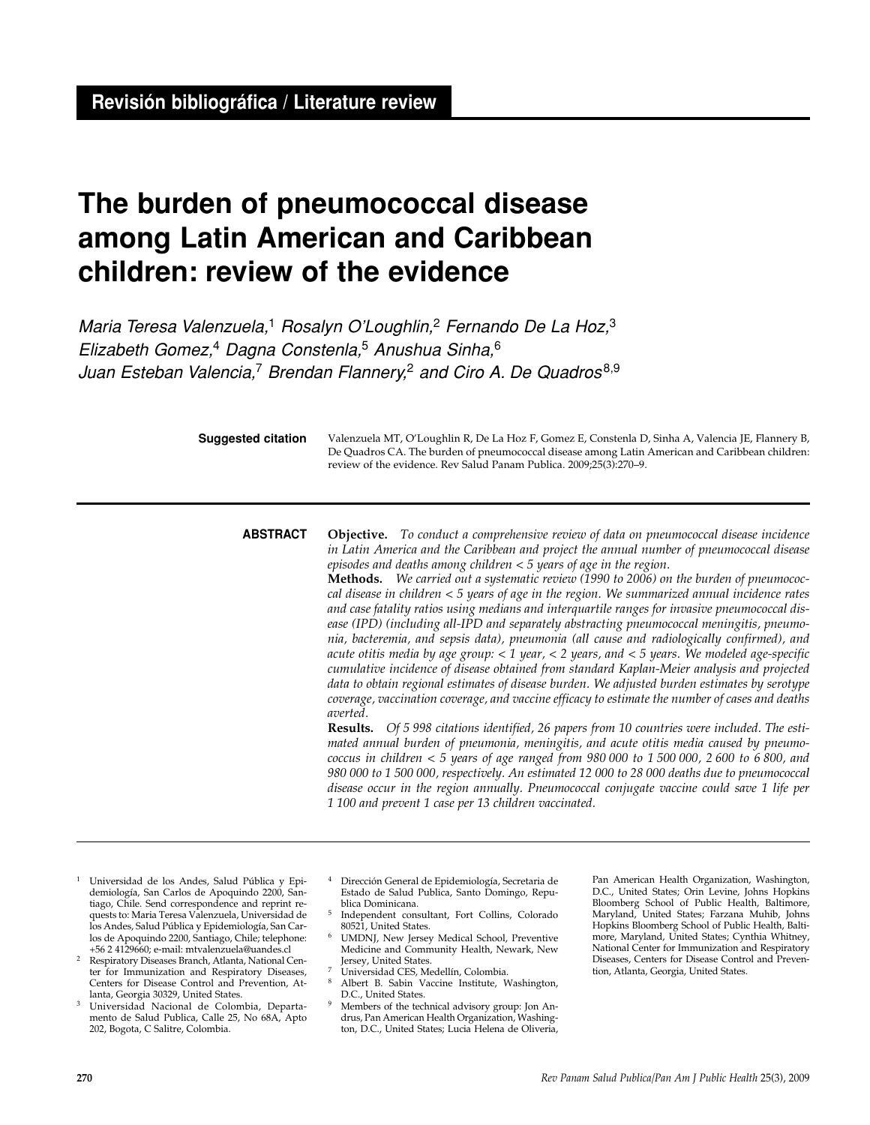# **The burden of pneumococcal disease among Latin American and Caribbean children: review of the evidence**

Maria Teresa Valenzuela,<sup>1</sup> Rosalyn O'Loughlin,<sup>2</sup> Fernando De La Hoz,<sup>3</sup> Elizabeth Gomez,<sup>4</sup> Dagna Constenla,<sup>5</sup> Anushua Sinha, $6$ Juan Esteban Valencia,<sup>7</sup> Brendan Flannery,<sup>2</sup> and Ciro A. De Quadros<sup>8,9</sup>

**Suggested citation**

Valenzuela MT, O'Loughlin R, De La Hoz F, Gomez E, Constenla D, Sinha A, Valencia JE, Flannery B, De Quadros CA. The burden of pneumococcal disease among Latin American and Caribbean children: review of the evidence. Rev Salud Panam Publica. 2009;25(3):270–9.

# **ABSTRACT**

**Objective.** *To conduct a comprehensive review of data on pneumococcal disease incidence in Latin America and the Caribbean and project the annual number of pneumococcal disease episodes and deaths among children < 5 years of age in the region.*

**Methods.** *We carried out a systematic review (1990 to 2006) on the burden of pneumococcal disease in children < 5 years of age in the region. We summarized annual incidence rates and case fatality ratios using medians and interquartile ranges for invasive pneumococcal disease (IPD) (including all-IPD and separately abstracting pneumococcal meningitis, pneumonia, bacteremia, and sepsis data), pneumonia (all cause and radiologically confirmed), and acute otitis media by age group: < 1 year, < 2 years, and < 5 years. We modeled age-specific cumulative incidence of disease obtained from standard Kaplan-Meier analysis and projected data to obtain regional estimates of disease burden. We adjusted burden estimates by serotype coverage, vaccination coverage, and vaccine efficacy to estimate the number of cases and deaths averted.* 

**Results.** *Of 5 998 citations identified, 26 papers from 10 countries were included. The estimated annual burden of pneumonia, meningitis, and acute otitis media caused by pneumococcus in children < 5 years of age ranged from 980 000 to 1 500 000, 2 600 to 6 800, and 980 000 to 1 500 000, respectively. An estimated 12 000 to 28 000 deaths due to pneumococcal disease occur in the region annually. Pneumococcal conjugate vaccine could save 1 life per 1 100 and prevent 1 case per 13 children vaccinated.*

- <sup>1</sup> Universidad de los Andes, Salud Pública y Epidemiología, San Carlos de Apoquindo 2200, Santiago, Chile. Send correspondence and reprint requests to: Maria Teresa Valenzuela, Universidad de los Andes, Salud Pública y Epidemiología, San Carlos de Apoquindo 2200, Santiago, Chile; telephone:<br>+56 2 4129660; e-mail: mtvalenzuela@uandes.cl
- Respiratory Diseases Branch, Atlanta, National Center for Immunization and Respiratory Diseases, Centers for Disease Control and Prevention, At-
- lanta, Georgia 30329, United States. 3 Universidad Nacional de Colombia, Departamento de Salud Publica, Calle 25, No 68A, Apto 202, Bogota, C Salitre, Colombia.
- <sup>4</sup> Dirección General de Epidemiología, Secretaria de Estado de Salud Publica, Santo Domingo, Republica Dominicana.
- <sup>5</sup> Independent consultant, Fort Collins, Colorado
- UMDNJ, New Jersey Medical School, Preventive Medicine and Community Health, Newark, New Jersey, United States.
- <sup>7</sup> Universidad CES, Medellín, Colombia.
- Albert B. Sabin Vaccine Institute, Washington, D.C., United States.
- <sup>9</sup> Members of the technical advisory group: Jon Andrus, Pan American Health Organization, Washington, D.C., United States; Lucia Helena de Oliveria,

Pan American Health Organization, Washington, D.C., United States; Orin Levine, Johns Hopkins Bloomberg School of Public Health, Baltimore, Maryland, United States; Farzana Muhib, Johns Hopkins Bloomberg School of Public Health, Baltimore, Maryland, United States; Cynthia Whitney, National Center for Immunization and Respiratory Diseases, Centers for Disease Control and Prevention, Atlanta, Georgia, United States.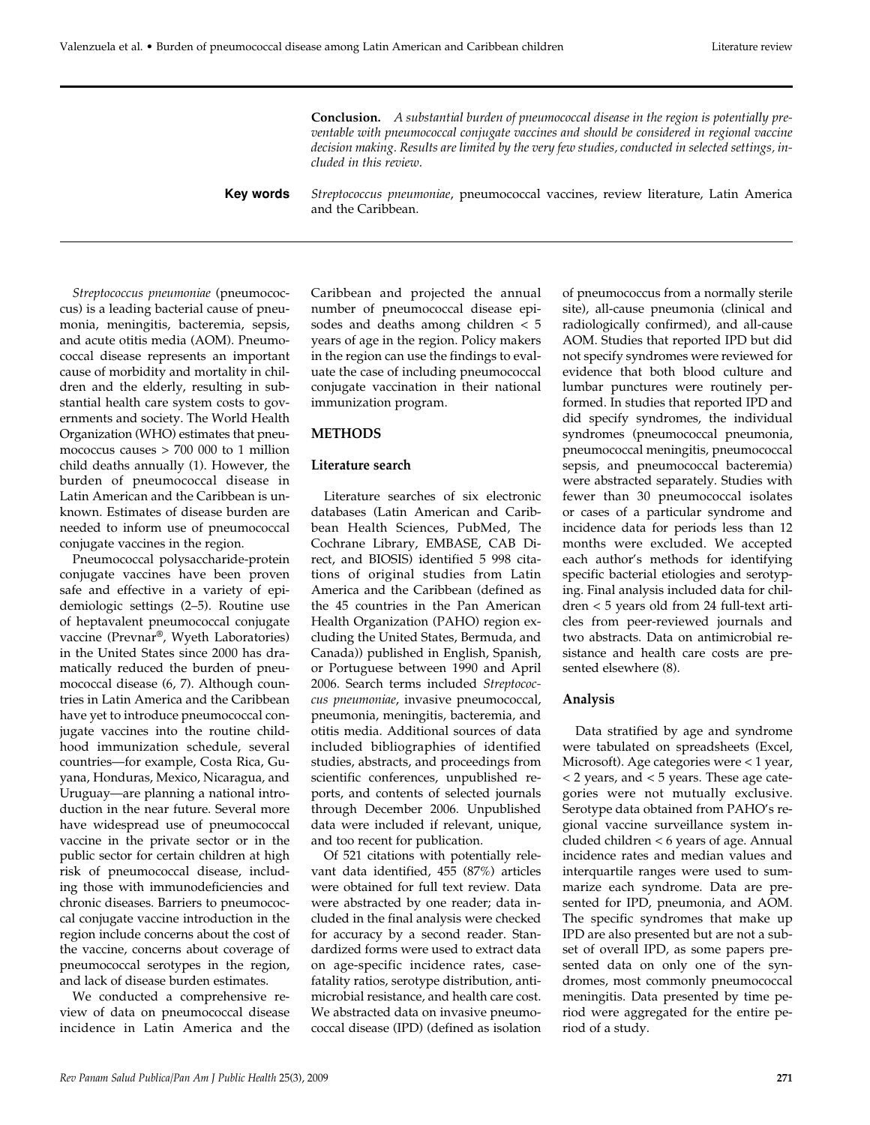**Conclusion.** *A substantial burden of pneumococcal disease in the region is potentially preventable with pneumococcal conjugate vaccines and should be considered in regional vaccine decision making. Results are limited by the very few studies, conducted in selected settings, included in this review.*

*Streptococcus pneumoniae*, pneumococcal vaccines, review literature, Latin America and the Caribbean. **Key words**

*Streptococcus pneumoniae* (pneumococcus) is a leading bacterial cause of pneumonia, meningitis, bacteremia, sepsis, and acute otitis media (AOM). Pneumococcal disease represents an important cause of morbidity and mortality in children and the elderly, resulting in substantial health care system costs to governments and society. The World Health Organization (WHO) estimates that pneumococcus causes > 700 000 to 1 million child deaths annually (1). However, the burden of pneumococcal disease in Latin American and the Caribbean is unknown. Estimates of disease burden are needed to inform use of pneumococcal conjugate vaccines in the region.

Pneumococcal polysaccharide-protein conjugate vaccines have been proven safe and effective in a variety of epidemiologic settings (2–5). Routine use of heptavalent pneumococcal conjugate vaccine (Prevnar®, Wyeth Laboratories) in the United States since 2000 has dramatically reduced the burden of pneumococcal disease (6, 7). Although countries in Latin America and the Caribbean have yet to introduce pneumococcal conjugate vaccines into the routine childhood immunization schedule, several countries—for example, Costa Rica, Guyana, Honduras, Mexico, Nicaragua, and Uruguay—are planning a national introduction in the near future. Several more have widespread use of pneumococcal vaccine in the private sector or in the public sector for certain children at high risk of pneumococcal disease, including those with immunodeficiencies and chronic diseases. Barriers to pneumococcal conjugate vaccine introduction in the region include concerns about the cost of the vaccine, concerns about coverage of pneumococcal serotypes in the region, and lack of disease burden estimates.

We conducted a comprehensive review of data on pneumococcal disease incidence in Latin America and the Caribbean and projected the annual number of pneumococcal disease episodes and deaths among children < 5 years of age in the region. Policy makers in the region can use the findings to evaluate the case of including pneumococcal conjugate vaccination in their national immunization program.

# **METHODS**

## **Literature search**

Literature searches of six electronic databases (Latin American and Caribbean Health Sciences, PubMed, The Cochrane Library, EMBASE, CAB Direct, and BIOSIS) identified 5 998 citations of original studies from Latin America and the Caribbean (defined as the 45 countries in the Pan American Health Organization (PAHO) region excluding the United States, Bermuda, and Canada)) published in English, Spanish, or Portuguese between 1990 and April 2006. Search terms included *Streptococcus pneumoniae*, invasive pneumococcal, pneumonia, meningitis, bacteremia, and otitis media. Additional sources of data included bibliographies of identified studies, abstracts, and proceedings from scientific conferences, unpublished reports, and contents of selected journals through December 2006. Unpublished data were included if relevant, unique, and too recent for publication.

Of 521 citations with potentially relevant data identified, 455 (87%) articles were obtained for full text review. Data were abstracted by one reader; data included in the final analysis were checked for accuracy by a second reader. Standardized forms were used to extract data on age-specific incidence rates, casefatality ratios, serotype distribution, antimicrobial resistance, and health care cost. We abstracted data on invasive pneumococcal disease (IPD) (defined as isolation

of pneumococcus from a normally sterile site), all-cause pneumonia (clinical and radiologically confirmed), and all-cause AOM. Studies that reported IPD but did not specify syndromes were reviewed for evidence that both blood culture and lumbar punctures were routinely performed. In studies that reported IPD and did specify syndromes, the individual syndromes (pneumococcal pneumonia, pneumococcal meningitis, pneumococcal sepsis, and pneumococcal bacteremia) were abstracted separately. Studies with fewer than 30 pneumococcal isolates or cases of a particular syndrome and incidence data for periods less than 12 months were excluded. We accepted each author's methods for identifying specific bacterial etiologies and serotyping. Final analysis included data for children < 5 years old from 24 full-text articles from peer-reviewed journals and two abstracts. Data on antimicrobial resistance and health care costs are presented elsewhere (8).

# **Analysis**

Data stratified by age and syndrome were tabulated on spreadsheets (Excel, Microsoft). Age categories were < 1 year, < 2 years, and < 5 years. These age categories were not mutually exclusive. Serotype data obtained from PAHO's regional vaccine surveillance system included children < 6 years of age. Annual incidence rates and median values and interquartile ranges were used to summarize each syndrome. Data are presented for IPD, pneumonia, and AOM. The specific syndromes that make up IPD are also presented but are not a subset of overall IPD, as some papers presented data on only one of the syndromes, most commonly pneumococcal meningitis. Data presented by time period were aggregated for the entire period of a study.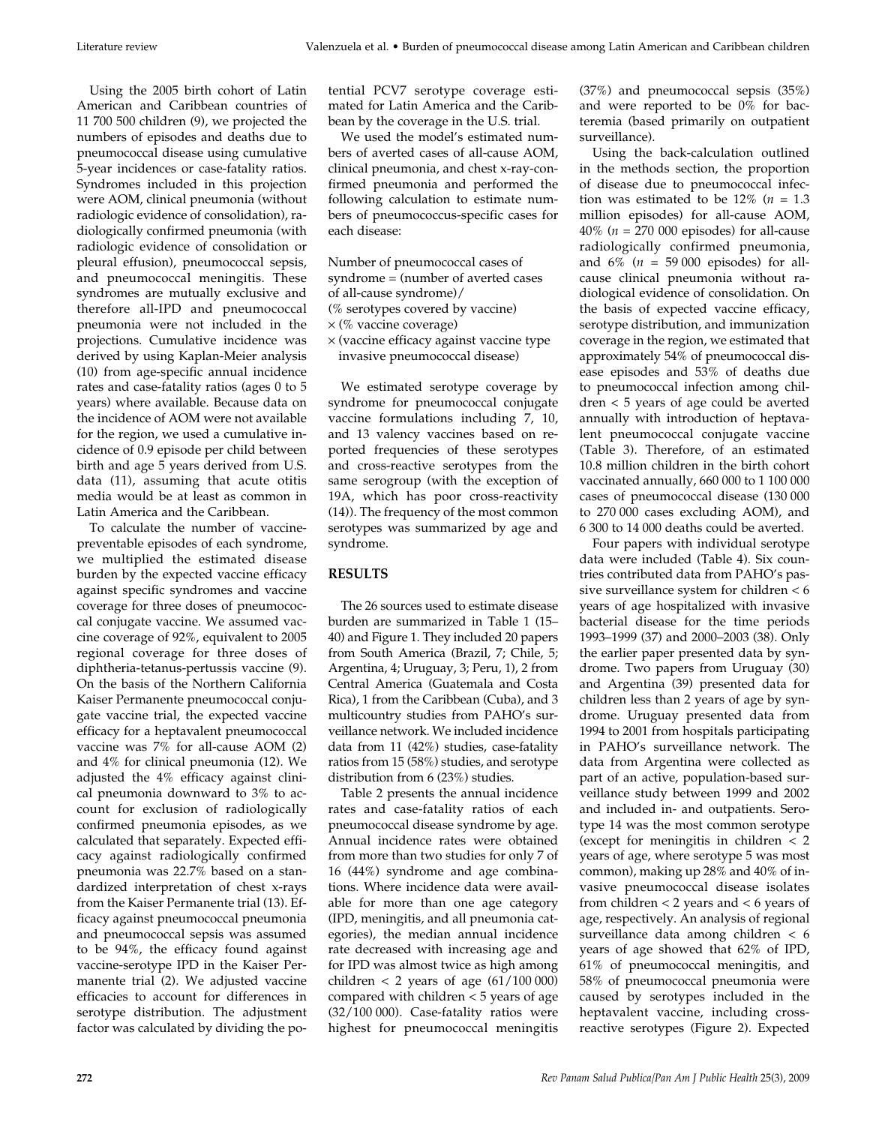Using the 2005 birth cohort of Latin American and Caribbean countries of 11 700 500 children (9), we projected the numbers of episodes and deaths due to pneumococcal disease using cumulative 5-year incidences or case-fatality ratios. Syndromes included in this projection were AOM, clinical pneumonia (without radiologic evidence of consolidation), radiologically confirmed pneumonia (with radiologic evidence of consolidation or pleural effusion), pneumococcal sepsis, and pneumococcal meningitis. These syndromes are mutually exclusive and therefore all-IPD and pneumococcal pneumonia were not included in the projections. Cumulative incidence was derived by using Kaplan-Meier analysis (10) from age-specific annual incidence rates and case-fatality ratios (ages 0 to 5 years) where available. Because data on the incidence of AOM were not available for the region, we used a cumulative incidence of 0.9 episode per child between birth and age 5 years derived from U.S. data (11), assuming that acute otitis media would be at least as common in Latin America and the Caribbean.

To calculate the number of vaccinepreventable episodes of each syndrome, we multiplied the estimated disease burden by the expected vaccine efficacy against specific syndromes and vaccine coverage for three doses of pneumococcal conjugate vaccine. We assumed vaccine coverage of 92%, equivalent to 2005 regional coverage for three doses of diphtheria-tetanus-pertussis vaccine (9). On the basis of the Northern California Kaiser Permanente pneumococcal conjugate vaccine trial, the expected vaccine efficacy for a heptavalent pneumococcal vaccine was 7% for all-cause AOM (2) and 4% for clinical pneumonia (12). We adjusted the 4% efficacy against clinical pneumonia downward to 3% to account for exclusion of radiologically confirmed pneumonia episodes, as we calculated that separately. Expected efficacy against radiologically confirmed pneumonia was 22.7% based on a standardized interpretation of chest x-rays from the Kaiser Permanente trial (13). Efficacy against pneumococcal pneumonia and pneumococcal sepsis was assumed to be 94%, the efficacy found against vaccine-serotype IPD in the Kaiser Permanente trial (2). We adjusted vaccine efficacies to account for differences in serotype distribution. The adjustment factor was calculated by dividing the potential PCV7 serotype coverage estimated for Latin America and the Caribbean by the coverage in the U.S. trial.

We used the model's estimated numbers of averted cases of all-cause AOM, clinical pneumonia, and chest x-ray-confirmed pneumonia and performed the following calculation to estimate numbers of pneumococcus-specific cases for each disease:

- Number of pneumococcal cases of syndrome = (number of averted cases
- of all-cause syndrome)/
- (% serotypes covered by vaccine)
- $\times$  (% vaccine coverage)
- × (vaccine efficacy against vaccine type invasive pneumococcal disease)

We estimated serotype coverage by syndrome for pneumococcal conjugate vaccine formulations including 7, 10, and 13 valency vaccines based on reported frequencies of these serotypes and cross-reactive serotypes from the same serogroup (with the exception of 19A, which has poor cross-reactivity (14)). The frequency of the most common serotypes was summarized by age and syndrome.

# **RESULTS**

The 26 sources used to estimate disease burden are summarized in Table 1 (15– 40) and Figure 1. They included 20 papers from South America (Brazil, 7; Chile, 5; Argentina, 4; Uruguay, 3; Peru, 1), 2 from Central America (Guatemala and Costa Rica), 1 from the Caribbean (Cuba), and 3 multicountry studies from PAHO's surveillance network. We included incidence data from 11 (42%) studies, case-fatality ratios from 15 (58%) studies, and serotype distribution from 6 (23%) studies.

Table 2 presents the annual incidence rates and case-fatality ratios of each pneumococcal disease syndrome by age. Annual incidence rates were obtained from more than two studies for only 7 of 16 (44%) syndrome and age combinations. Where incidence data were available for more than one age category (IPD, meningitis, and all pneumonia categories), the median annual incidence rate decreased with increasing age and for IPD was almost twice as high among children  $< 2$  years of age  $(61/100 000)$ compared with children < 5 years of age (32/100 000). Case-fatality ratios were highest for pneumococcal meningitis

(37%) and pneumococcal sepsis (35%) and were reported to be 0% for bacteremia (based primarily on outpatient surveillance).

Using the back-calculation outlined in the methods section, the proportion of disease due to pneumococcal infection was estimated to be  $12\%$  ( $n = 1.3$ ) million episodes) for all-cause AOM, 40% (*n* = 270 000 episodes) for all-cause radiologically confirmed pneumonia, and  $6\%$  ( $n = 59000$  episodes) for allcause clinical pneumonia without radiological evidence of consolidation. On the basis of expected vaccine efficacy, serotype distribution, and immunization coverage in the region, we estimated that approximately 54% of pneumococcal disease episodes and 53% of deaths due to pneumococcal infection among children < 5 years of age could be averted annually with introduction of heptavalent pneumococcal conjugate vaccine (Table 3). Therefore, of an estimated 10.8 million children in the birth cohort vaccinated annually, 660 000 to 1 100 000 cases of pneumococcal disease (130 000 to 270 000 cases excluding AOM), and 6 300 to 14 000 deaths could be averted.

Four papers with individual serotype data were included (Table 4). Six countries contributed data from PAHO's passive surveillance system for children < 6 years of age hospitalized with invasive bacterial disease for the time periods 1993–1999 (37) and 2000–2003 (38). Only the earlier paper presented data by syndrome. Two papers from Uruguay (30) and Argentina (39) presented data for children less than 2 years of age by syndrome. Uruguay presented data from 1994 to 2001 from hospitals participating in PAHO's surveillance network. The data from Argentina were collected as part of an active, population-based surveillance study between 1999 and 2002 and included in- and outpatients. Serotype 14 was the most common serotype (except for meningitis in children < 2 years of age, where serotype 5 was most common), making up 28% and 40% of invasive pneumococcal disease isolates from children < 2 years and < 6 years of age, respectively. An analysis of regional surveillance data among children < 6 years of age showed that 62% of IPD, 61% of pneumococcal meningitis, and 58% of pneumococcal pneumonia were caused by serotypes included in the heptavalent vaccine, including crossreactive serotypes (Figure 2). Expected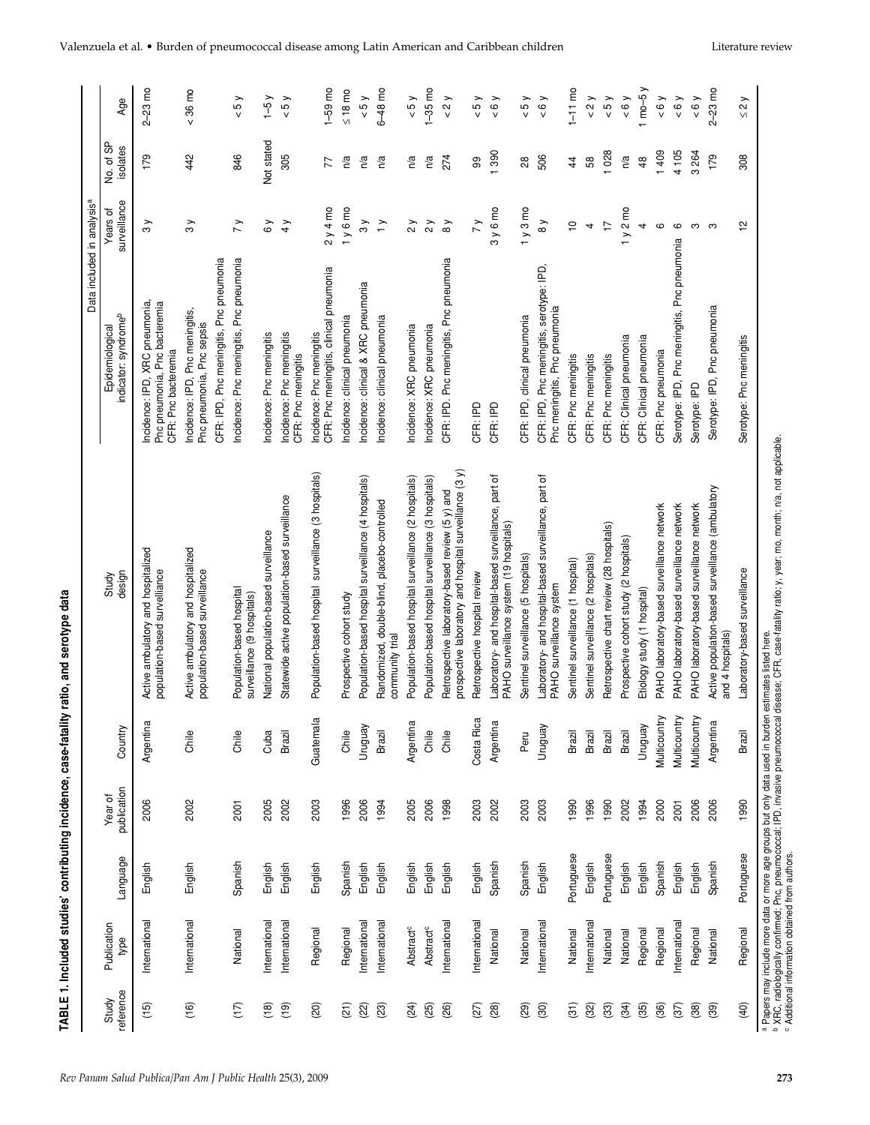| and caroty                                 |
|--------------------------------------------|
|                                            |
| atality ratio<br>, alai<br>;<br>;          |
|                                            |
| $\frac{1}{2}$                              |
| .<br>.<br>.                                |
| ֧֧֧ׅ֧֧֧֧֚֚֚֚֚֚֚֚֚֚֚֚֚֚֚֚֚֚֚֚֚֚֚֝֝֘֝֝֬֝֟֓֝֬ |
| :<br>!<br>!<br>7<br>21<br>52               |

|                    |                                                            |            |                        |               |                                                                                                           | Data included in analysis <sup>a</sup>                                                                  |                          |                       |                                |
|--------------------|------------------------------------------------------------|------------|------------------------|---------------|-----------------------------------------------------------------------------------------------------------|---------------------------------------------------------------------------------------------------------|--------------------------|-----------------------|--------------------------------|
| reference<br>Study | Publication<br>type                                        | Language   | publication<br>Year of | Country       | design<br>Study                                                                                           | indicator: syndromeb<br>Epidemiological                                                                 | surveillance<br>Years of | No. of SP<br>isolates | Age                            |
| (15)               | International                                              | English    | 2006                   | Argentina     | Active ambulatory and hospitalized<br>population-based survelliance                                       | ncidence: IPD, XRC pneumonia,<br>Pnc pneumonia, Pnc bacteremia<br>CFR: Pnc bacteremia                   | $\frac{8}{3}$            | 179                   | $2-23$ mo                      |
| (16)               | International                                              | English    | 2002                   | Chile         | Active ambulatory and hospitalized<br>population-based surveillance                                       | CFR: IPD, Pnc meningitis, Pnc pneumonia<br>Incidence: IPD, Pnc meningitis,<br>Pnc pneumonia, Pnc sepsis | $\frac{8}{3}$            | 442                   | $& 36 \text{ mo}$              |
| $(17)$             | National                                                   | Spanish    | 2001                   | Ghile         | Population-based hospital<br>surveillance (9 hospitals)                                                   | Incidence: Pnc meningitis, Pnc pneumonia                                                                | $\overline{y}$           | 846                   | 5y                             |
| (18)               | International                                              | English    | 2005                   | Cuba          | National population-based surveillance                                                                    | Incidence: Pnc meningitis                                                                               | $\delta$ y               | Not stated            | $-5y$                          |
| (19)               | International                                              | English    | 2002                   | Brazil        | Statewide active population-based surveillance                                                            | Incidence: Pnc meningitis<br>CFR: Pnc meningitis                                                        | 4y                       | 305                   | 5y                             |
| (20)               | Regional                                                   | English    | 2003                   | Guatemala     | Population-based hospital surveillance (3 hospitals)                                                      | CFR: Pnc meningitis, clinical pneumonia<br>Incidence: Pnc meningitis                                    | $2y4$ mo                 | 77                    | $1-59$ mo                      |
| (21)               | Regional                                                   | Spanish    | 1996                   | Chile         | Prospective cohort study                                                                                  | Incidence: clinical pneumonia                                                                           | 1y6mo                    | n/a                   | $\leq 18$ mo                   |
| (22)               | International                                              | English    | 2006                   | Venbnun       | Population-based hospital surveillance (4 hospitals)                                                      | Incidence: clinical & XRC pneumonia                                                                     | $\frac{8}{3}$            | n/a                   | 5y                             |
| (23)               | International                                              | English    | 1994                   | Brazil        | Randomized, double-blind, placebo-controlled<br>community trial                                           | Incidence: clinical pneumonia                                                                           | $\geq$                   | n/a                   | $6-48$ mo                      |
| (24)               | <b>Abstract<sup>c</sup></b>                                | English    | 2005                   | Argentina     | Population-based hospital surveillance (2 hospitals)                                                      | Incidence: XRC pneumonia                                                                                | $\frac{2}{\sqrt{2}}$     | n/a                   | 5y                             |
| (25)               | <b>Abstract<sup>c</sup></b>                                | English    | 2006                   | Chile         | Population-based hospital surveillance (3 hospitals)                                                      | Incidence: XRC pneumonia                                                                                | $\gamma$                 | n/a                   | $1 - 35$ mo                    |
| (26)               | International                                              | English    | 1998                   | Ghile         | prospective laboratory and hospital surveillance (3 y)<br>Retrospective laboratory-based review (5 y) and | CFR: IPD. Pnc meningitis, Pnc pneumonia                                                                 | $\delta y$               | 274                   | $\lt 2$                        |
| (27)               | International                                              | English    | 2003                   | Costa Rica    | Retrospective hospital review                                                                             | CFR: IPD                                                                                                | $\overline{y}$           | 99                    | 5y                             |
| (28)               | National                                                   | Spanish    | 2002                   | Argentina     | Laboratory- and hospital-based surveillance, part of<br>PAHO surveillance system (19 hospitals)           | CFR: IPD                                                                                                | 3y6mo                    | 1390                  | 50 <sub>Y</sub>                |
| (29)               | National                                                   | Spanish    | 2003                   | Peru          | Sentinel surveillance (5 hospitals)                                                                       | CFR: IPD, clinical pneumonia                                                                            | 1y3mo                    | 28                    | $\times 5y$                    |
| $\circledS$        | International                                              | English    | 2003                   | Venbnun       | Laboratory- and hospital-based surveillance, part of<br>PAHO surveillance system                          | CFR: IPD, Pnc meningitis, serotype: IPD,<br>Pnc meningitis, Pnc pneumonia                               | $\frac{8}{9}$            | 506                   | & 6y                           |
| (31)               | National                                                   | Portuguese | 1990                   | <b>Brazil</b> | Sentinel surveillance (1 hospital)                                                                        | CFR: Pnc meningitis                                                                                     | $\overline{C}$           | 44                    | $1 - 11$ mo                    |
| (32)               | International                                              | English    | 1996                   | Brazil        | Sentinel surveillance (2 hospitals)                                                                       | CFR: Pnc meningitis                                                                                     | 4                        | 58                    | $\lt 2$                        |
| (33)               | National                                                   | Portuguese | 1990                   | Brazil        | Retrospective chart review (28 hospitals)                                                                 | CFR: Pnc meningitis                                                                                     | $\overline{1}$           | 1028                  | 5y                             |
| (34)               | National                                                   | English    | 2002                   | Brazil        | Prospective cohort study (2 hospitals)                                                                    | CFR: Clinical pneumonia                                                                                 | 1y2mo                    | n/a                   | 6y                             |
| (35)               | Regional                                                   | English    | 1994                   | Venbnun       | Etiology study (1 hospital)                                                                               | CFR: Clinical pneumonia                                                                                 | 4                        | 48                    | $1$ mo-5 $y$                   |
| (36)               | Regional                                                   | Spanish    | 2000                   | Multicountry  | PAHO laboratory-based surveillance network                                                                | CFR: Pnc pneumonia                                                                                      | $\circ$                  | 1409                  | 0000                           |
| (37)               | International                                              | English    | 2001                   | Multicountry  | PAHO laboratory-based surveillance network                                                                | Serotype: IPD, Pnc meningitis, Pnc pneumonia                                                            | $\mathbf \Omega$         | 4 105                 | 0000                           |
| (38)               | Regional                                                   | English    | 2006                   | Multicountry  | PAHO laboratory-based surveillance network                                                                | Serotype: IPD                                                                                           | S                        | 3264                  | 0000                           |
| (39)               | National                                                   | Spanish    | 2006                   | Argentina     | Active population-based surveillance (ambulatory<br>and 4 hospitals)                                      | Serotype: IPD, Pnc pneumonia                                                                            | ო                        | 179                   | $2-23$ mo                      |
| (40)               | Regional                                                   | Portuguese | 1990                   | Brazil        | Laboratory-based surveillance                                                                             | Serotype: Pnc meningitis                                                                                | $\sim$                   | 308                   | $\frac{2}{\sqrt{2}}$<br>$\vee$ |
|                    | <sup>c</sup> Additional information obtained from authors. |            |                        |               | Papers may include more data or more age groups but only data used in burden estimates listed here.       |                                                                                                         |                          |                       |                                |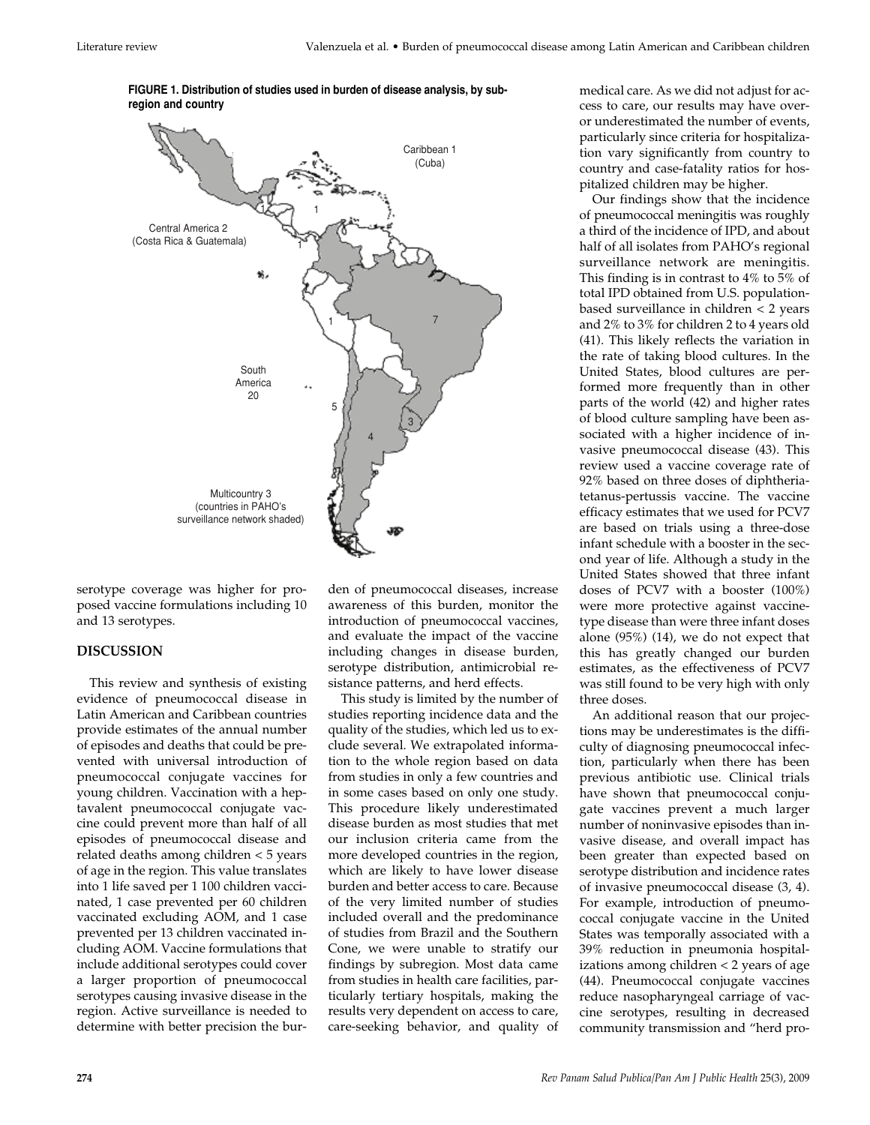

**FIGURE 1. Distribution of studies used in burden of disease analysis, by subregion and country**

serotype coverage was higher for proposed vaccine formulations including 10 and 13 serotypes.

### **DISCUSSION**

This review and synthesis of existing evidence of pneumococcal disease in Latin American and Caribbean countries provide estimates of the annual number of episodes and deaths that could be prevented with universal introduction of pneumococcal conjugate vaccines for young children. Vaccination with a heptavalent pneumococcal conjugate vaccine could prevent more than half of all episodes of pneumococcal disease and related deaths among children < 5 years of age in the region. This value translates into 1 life saved per 1 100 children vaccinated, 1 case prevented per 60 children vaccinated excluding AOM, and 1 case prevented per 13 children vaccinated including AOM. Vaccine formulations that include additional serotypes could cover a larger proportion of pneumococcal serotypes causing invasive disease in the region. Active surveillance is needed to determine with better precision the burden of pneumococcal diseases, increase awareness of this burden, monitor the introduction of pneumococcal vaccines, and evaluate the impact of the vaccine including changes in disease burden, serotype distribution, antimicrobial resistance patterns, and herd effects.

This study is limited by the number of studies reporting incidence data and the quality of the studies, which led us to exclude several. We extrapolated information to the whole region based on data from studies in only a few countries and in some cases based on only one study. This procedure likely underestimated disease burden as most studies that met our inclusion criteria came from the more developed countries in the region, which are likely to have lower disease burden and better access to care. Because of the very limited number of studies included overall and the predominance of studies from Brazil and the Southern Cone, we were unable to stratify our findings by subregion. Most data came from studies in health care facilities, particularly tertiary hospitals, making the results very dependent on access to care, care-seeking behavior, and quality of

medical care. As we did not adjust for access to care, our results may have overor underestimated the number of events, particularly since criteria for hospitalization vary significantly from country to country and case-fatality ratios for hospitalized children may be higher.

Our findings show that the incidence of pneumococcal meningitis was roughly a third of the incidence of IPD, and about half of all isolates from PAHO's regional surveillance network are meningitis. This finding is in contrast to 4% to 5% of total IPD obtained from U.S. populationbased surveillance in children < 2 years and 2% to 3% for children 2 to 4 years old (41). This likely reflects the variation in the rate of taking blood cultures. In the United States, blood cultures are performed more frequently than in other parts of the world (42) and higher rates of blood culture sampling have been associated with a higher incidence of invasive pneumococcal disease (43). This review used a vaccine coverage rate of 92% based on three doses of diphtheriatetanus-pertussis vaccine. The vaccine efficacy estimates that we used for PCV7 are based on trials using a three-dose infant schedule with a booster in the second year of life. Although a study in the United States showed that three infant doses of PCV7 with a booster (100%) were more protective against vaccinetype disease than were three infant doses alone (95%) (14), we do not expect that this has greatly changed our burden estimates, as the effectiveness of PCV7 was still found to be very high with only three doses.

An additional reason that our projections may be underestimates is the difficulty of diagnosing pneumococcal infection, particularly when there has been previous antibiotic use. Clinical trials have shown that pneumococcal conjugate vaccines prevent a much larger number of noninvasive episodes than invasive disease, and overall impact has been greater than expected based on serotype distribution and incidence rates of invasive pneumococcal disease (3, 4). For example, introduction of pneumococcal conjugate vaccine in the United States was temporally associated with a 39% reduction in pneumonia hospitalizations among children < 2 years of age (44). Pneumococcal conjugate vaccines reduce nasopharyngeal carriage of vaccine serotypes, resulting in decreased community transmission and "herd pro-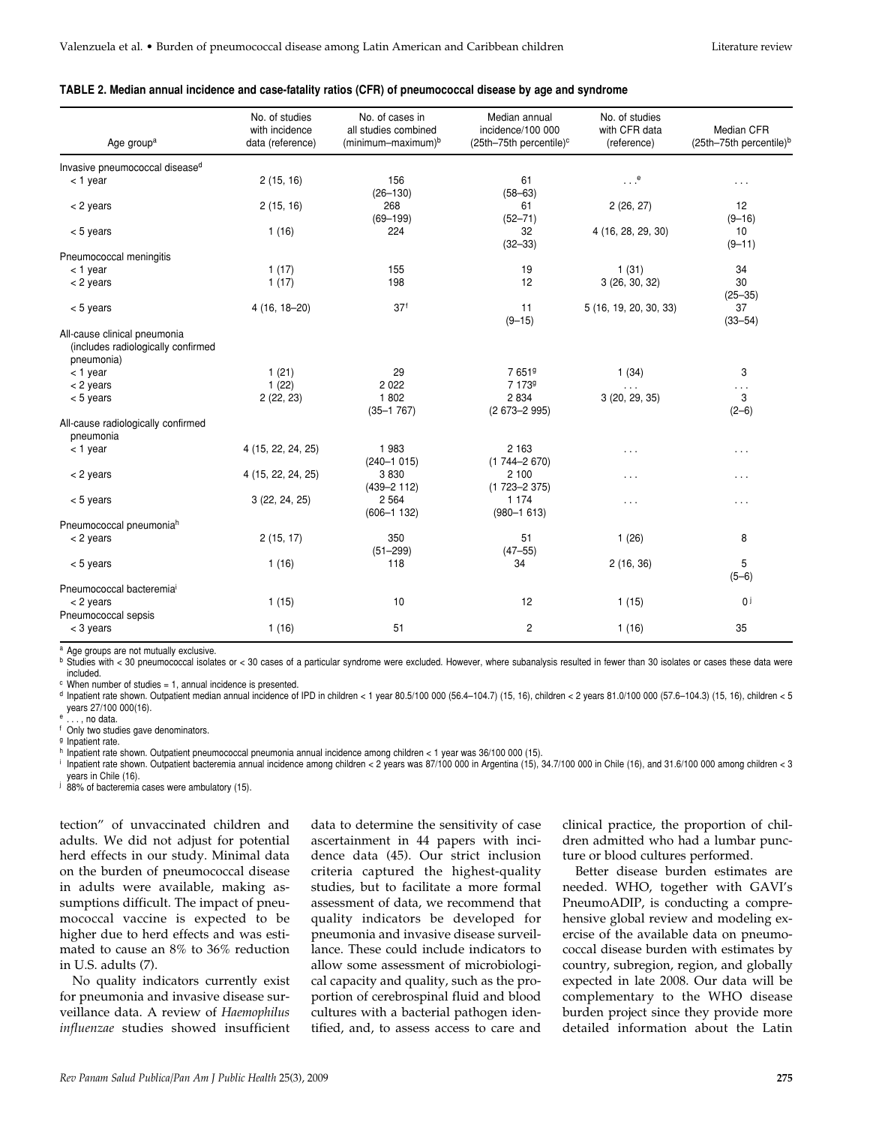#### **TABLE 2. Median annual incidence and case-fatality ratios (CFR) of pneumococcal disease by age and syndrome**

| Age group <sup>a</sup>                                                           | No. of studies<br>with incidence<br>data (reference) | No. of cases in<br>all studies combined<br>$(minimum-maximum)^b$ | Median annual<br>incidence/100 000<br>(25th-75th percentile) <sup>c</sup> | No. of studies<br>with CFR data<br>(reference) | Median CFR<br>$(25th-75th)$ percentile) <sup>b</sup> |
|----------------------------------------------------------------------------------|------------------------------------------------------|------------------------------------------------------------------|---------------------------------------------------------------------------|------------------------------------------------|------------------------------------------------------|
| Invasive pneumococcal disease <sup>d</sup>                                       |                                                      |                                                                  |                                                                           |                                                |                                                      |
| $<$ 1 year                                                                       | 2(15, 16)                                            | 156<br>$(26 - 130)$                                              | 61<br>$(58 - 63)$                                                         | $\cdot$ . $e$                                  | $\cdot$ $\cdot$ $\cdot$                              |
| $<$ 2 years                                                                      | 2(15, 16)                                            | 268<br>$(69 - 199)$                                              | 61<br>$(52 - 71)$                                                         | 2(26, 27)                                      | 12<br>$(9 - 16)$                                     |
| $< 5$ years                                                                      | 1(16)                                                | 224                                                              | 32<br>$(32 - 33)$                                                         | 4 (16, 28, 29, 30)                             | 10<br>$(9 - 11)$                                     |
| Pneumococcal meningitis                                                          |                                                      |                                                                  |                                                                           |                                                |                                                      |
| $<$ 1 year                                                                       | 1(17)                                                | 155                                                              | 19                                                                        | 1(31)                                          | 34                                                   |
| < 2 years                                                                        | 1(17)                                                | 198                                                              | 12                                                                        | 3(26, 30, 32)                                  | 30<br>$(25 - 35)$                                    |
| $< 5$ years                                                                      | $4(16, 18-20)$                                       | 37 <sup>f</sup>                                                  | 11<br>$(9 - 15)$                                                          | 5 (16, 19, 20, 30, 33)                         | 37<br>$(33 - 54)$                                    |
| All-cause clinical pneumonia<br>(includes radiologically confirmed<br>pneumonia) |                                                      |                                                                  |                                                                           |                                                |                                                      |
| $<$ 1 year                                                                       | 1(21)                                                | 29                                                               | 7651 <sup>9</sup>                                                         | 1(34)                                          | 3                                                    |
| $<$ 2 years                                                                      | 1(22)                                                | 2 0 2 2                                                          | 7 1739                                                                    | $\sim$ $\sim$ $\sim$                           | $\sim$ $\sim$ $\sim$                                 |
| $< 5$ years                                                                      | 2(22, 23)                                            | 1802<br>$(35 - 1767)$                                            | 2 8 3 4<br>$(2673 - 2995)$                                                | 3 (20, 29, 35)                                 | 3<br>$(2-6)$                                         |
| All-cause radiologically confirmed<br>pneumonia                                  |                                                      |                                                                  |                                                                           |                                                |                                                      |
| $<$ 1 year                                                                       | 4 (15, 22, 24, 25)                                   | 1983<br>$(240 - 1015)$                                           | 2 1 6 3<br>$(1744 - 2670)$                                                | $\cdots$                                       | $\sim$ $\sim$ $\sim$                                 |
| < 2 years                                                                        | 4 (15, 22, 24, 25)                                   | 3830<br>$(439 - 2112)$                                           | 2 100<br>$(1723 - 2375)$                                                  | $\cdots$                                       | $\cdots$                                             |
| $< 5$ years                                                                      | 3(22, 24, 25)                                        | 2 5 6 4<br>$(606 - 1 132)$                                       | 1 1 7 4<br>$(980 - 1613)$                                                 | $\cdots$                                       | $\sim$ $\sim$ $\sim$                                 |
| Pneumococcal pneumonia <sup>h</sup>                                              |                                                      |                                                                  |                                                                           |                                                |                                                      |
| < 2 years                                                                        | 2(15, 17)                                            | 350<br>$(51 - 299)$                                              | 51<br>$(47 - 55)$                                                         | 1(26)                                          | 8                                                    |
| $< 5$ years                                                                      | 1(16)                                                | 118                                                              | 34                                                                        | 2(16, 36)                                      | 5<br>$(5-6)$                                         |
| Pneumococcal bacteremia <sup>i</sup>                                             |                                                      |                                                                  |                                                                           |                                                |                                                      |
| $<$ 2 years<br>Pneumococcal sepsis                                               | 1(15)                                                | 10                                                               | 12                                                                        | 1(15)                                          | 0 <sup>j</sup>                                       |
| $<$ 3 years                                                                      | 1(16)                                                | 51                                                               | 2                                                                         | 1(16)                                          | 35                                                   |

<sup>a</sup> Age groups are not mutually exclusive.

b Studies with < 30 pneumococcal isolates or < 30 cases of a particular syndrome were excluded. However, where subanalysis resulted in fewer than 30 isolates or cases these data were included.

 $c$  When number of studies = 1, annual incidence is presented.

<sup>d</sup> Inpatient rate shown. Outpatient median annual incidence of IPD in children < 1 year 80.5/100 000 (56.4–104.7) (15, 16), children < 2 years 81.0/100 000 (57.6–104.3) (15, 16), children < 5 years 27/100 000(16).  $\dots$ , no data.

<sup>f</sup> Only two studies gave denominators.

<sup>g</sup> Inpatient rate.

<sup>h</sup> Inpatient rate shown. Outpatient pneumococcal pneumonia annual incidence among children < 1 year was 36/100 000 (15).

<sup>i</sup> Inpatient rate shown. Outpatient bacteremia annual incidence among children < 2 years was 87/100 000 in Argentina (15), 34.7/100 000 in Chile (16), and 31.6/100 000 among children < 3 years in Chile (16).

i 88% of bacteremia cases were ambulatory (15).

tection" of unvaccinated children and adults. We did not adjust for potential herd effects in our study. Minimal data on the burden of pneumococcal disease in adults were available, making assumptions difficult. The impact of pneumococcal vaccine is expected to be higher due to herd effects and was estimated to cause an 8% to 36% reduction in U.S. adults (7).

No quality indicators currently exist for pneumonia and invasive disease surveillance data. A review of *Haemophilus influenzae* studies showed insufficient data to determine the sensitivity of case ascertainment in 44 papers with incidence data (45). Our strict inclusion criteria captured the highest-quality studies, but to facilitate a more formal assessment of data, we recommend that quality indicators be developed for pneumonia and invasive disease surveillance. These could include indicators to allow some assessment of microbiological capacity and quality, such as the proportion of cerebrospinal fluid and blood cultures with a bacterial pathogen identified, and, to assess access to care and

clinical practice, the proportion of children admitted who had a lumbar puncture or blood cultures performed.

Better disease burden estimates are needed. WHO, together with GAVI's PneumoADIP, is conducting a comprehensive global review and modeling exercise of the available data on pneumococcal disease burden with estimates by country, subregion, region, and globally expected in late 2008. Our data will be complementary to the WHO disease burden project since they provide more detailed information about the Latin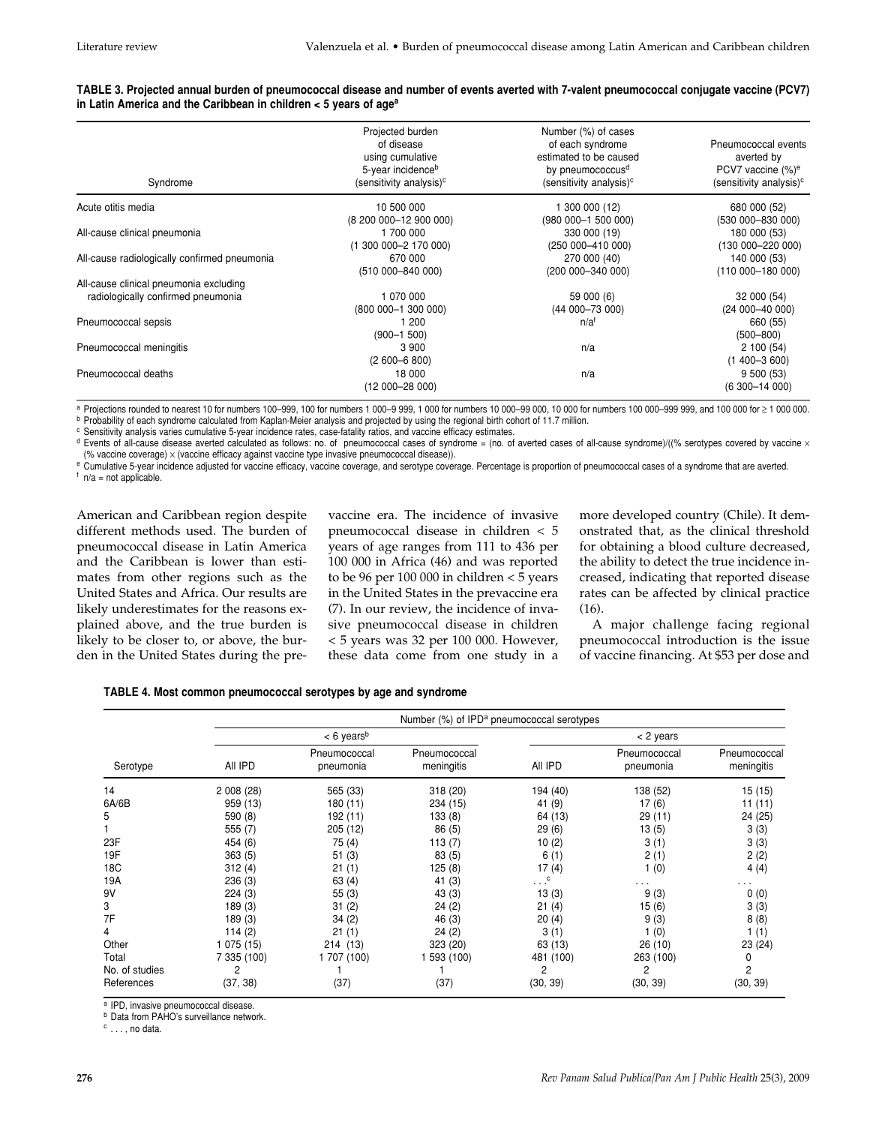| TABLE 3. Projected annual burden of pneumococcal disease and number of events averted with 7-valent pneumococcal conjugate vaccine (PCV7) |  |
|-------------------------------------------------------------------------------------------------------------------------------------------|--|
| in Latin America and the Caribbean in children $<$ 5 years of age <sup>a</sup>                                                            |  |

| Syndrome                                     | Projected burden<br>of disease<br>using cumulative<br>5-year incidence <sup>b</sup><br>(sensitivity analysis) <sup>c</sup> | Number (%) of cases<br>of each syndrome<br>estimated to be caused<br>by pneumococcus <sup>d</sup><br>(sensitivity analysis) <sup>c</sup> | Pneumococcal events<br>averted by<br>PCV7 vaccine (%) <sup>e</sup><br>(sensitivity analysis) <sup>c</sup> |
|----------------------------------------------|----------------------------------------------------------------------------------------------------------------------------|------------------------------------------------------------------------------------------------------------------------------------------|-----------------------------------------------------------------------------------------------------------|
| Acute otitis media                           | 10 500 000                                                                                                                 | 1 300 000 (12)                                                                                                                           | 680 000 (52)                                                                                              |
| All-cause clinical pneumonia                 | (8 200 000-12 900 000)<br>1 700 000<br>$(1, 300, 000 - 2, 170, 000)$                                                       | (980 000-1 500 000)<br>330 000 (19)<br>(250 000-410 000)                                                                                 | (530 000-830 000)<br>180 000 (53)<br>$(13000 - 22000)$                                                    |
| All-cause radiologically confirmed pneumonia | 670 000<br>(510 000-840 000)                                                                                               | 270 000 (40)<br>(200 000-340 000)                                                                                                        | 140 000 (53)<br>$(110000 - 18000)$                                                                        |
| All-cause clinical pneumonia excluding       |                                                                                                                            |                                                                                                                                          |                                                                                                           |
| radiologically confirmed pneumonia           | 1 070 000<br>$(800000-1300000)$                                                                                            | 59 000 (6)<br>$(44000 - 73000)$                                                                                                          | 32 000 (54)<br>$(24000 - 4000)$                                                                           |
| Pneumococcal sepsis                          | 1 200<br>$(900 - 1, 500)$                                                                                                  | n/a <sup>f</sup>                                                                                                                         | 660 (55)<br>$(500 - 800)$                                                                                 |
| Pneumococcal meningitis                      | 3 9 0 0<br>$(2600 - 6800)$                                                                                                 | n/a                                                                                                                                      | 2100(54)<br>$(1400 - 3600)$                                                                               |
| Pneumococcal deaths                          | 18 000<br>(12 000-28 000)                                                                                                  | n/a                                                                                                                                      | 9500(53)<br>$(6300 - 14000)$                                                                              |

<sup>a</sup> Projections rounded to nearest 10 for numbers 100–999, 100 for numbers 1 000–9 999, 1 000 for numbers 100 000 for numbers 100 000–999 009, and 100 000 for ≥ 1 000 000.<br><sup>b</sup> Probability of each syndrome calculated from

<sup>c</sup> Sensitivity analysis varies cumulative 5-year incidence rates, case-fatality ratios, and vaccine efficacy estimates.

 $d$  Events of all-cause disease averted calculated as follows: no. of pneumococcal cases of syndrome = (no. of averted cases of all-cause syndrome)/((% serotypes covered by vaccine  $\times$ (% vaccine coverage) × (vaccine efficacy against vaccine type invasive pneumococcal disease)).

e Cumulative 5-year incidence adjusted for vaccine efficacy, vaccine coverage, and serotype coverage. Percentage is proportion of pneumococcal cases of a syndrome that are averted.  $f$  n/a = not applicable.

American and Caribbean region despite different methods used. The burden of pneumococcal disease in Latin America and the Caribbean is lower than estimates from other regions such as the United States and Africa. Our results are likely underestimates for the reasons explained above, and the true burden is likely to be closer to, or above, the burden in the United States during the prevaccine era. The incidence of invasive pneumococcal disease in children < 5 years of age ranges from 111 to 436 per 100 000 in Africa (46) and was reported to be 96 per 100 000 in children < 5 years in the United States in the prevaccine era (7). In our review, the incidence of invasive pneumococcal disease in children < 5 years was 32 per 100 000. However, these data come from one study in a

more developed country (Chile). It demonstrated that, as the clinical threshold for obtaining a blood culture decreased, the ability to detect the true incidence increased, indicating that reported disease rates can be affected by clinical practice (16).

A major challenge facing regional pneumococcal introduction is the issue of vaccine financing. At \$53 per dose and

| TABLE 4. Most common pneumococcal serotypes by age and syndrome |  |  |  |  |  |  |  |  |
|-----------------------------------------------------------------|--|--|--|--|--|--|--|--|
|-----------------------------------------------------------------|--|--|--|--|--|--|--|--|

|                | Number (%) of IPD <sup>a</sup> pneumococcal serotypes |                           |                            |                           |                           |                            |  |  |
|----------------|-------------------------------------------------------|---------------------------|----------------------------|---------------------------|---------------------------|----------------------------|--|--|
|                | $< 6$ years <sup>b</sup>                              |                           |                            | < 2 years                 |                           |                            |  |  |
| Serotype       | All IPD                                               | Pneumococcal<br>pneumonia | Pneumococcal<br>meningitis | All IPD                   | Pneumococcal<br>pneumonia | Pneumococcal<br>meningitis |  |  |
| 14             | 2 008 (28)                                            | 565 (33)                  | 318 (20)                   | 194 (40)                  | 138 (52)                  | 15 (15)                    |  |  |
| 6A/6B          | 959 (13)                                              | 180 (11)                  | 234 (15)                   | 41 (9)                    | 17(6)                     | 11 (11)                    |  |  |
| 5              | 590 (8)                                               | 192 (11)                  | 133(8)                     | 64 (13)                   | 29 (11)                   | 24 (25)                    |  |  |
|                | 555(7)                                                | 205 (12)                  | 86(5)                      | 29(6)                     | 13(5)                     | 3(3)                       |  |  |
| 23F            | 454 (6)                                               | 75 (4)                    | 113(7)                     | 10(2)                     | 3(1)                      | 3(3)                       |  |  |
| 19F            | 363(5)                                                | 51(3)                     | 83(5)                      | 6(1)                      | 2(1)                      | 2(2)                       |  |  |
| 18C            | 312(4)                                                | 21(1)                     | 125(8)                     | 17(4)                     | 1(0)                      | 4(4)                       |  |  |
| 19A            | 236(3)                                                | 63(4)                     | 41(3)                      | $\cdot$ . $\cdot$ $\cdot$ |                           | $\cdots$                   |  |  |
| 9V             | 224(3)                                                | 55(3)                     | 43(3)                      | 13(3)                     | 9(3)                      | 0(0)                       |  |  |
| 3              | 189(3)                                                | 31(2)                     | 24(2)                      | 21(4)                     | 15(6)                     | 3(3)                       |  |  |
| 7F             | 189(3)                                                | 34(2)                     | 46(3)                      | 20(4)                     | 9(3)                      | 8(8)                       |  |  |
| 4              | 114(2)                                                | (1)<br>21                 | 24(2)                      | 3(1)                      | 1(0)                      | 1(1)                       |  |  |
| Other          | 1 075 (15)                                            | 214 (13)                  | 323 (20)                   | 63 (13)                   | 26(10)                    | 23(24)                     |  |  |
| Total          | 7 335 (100)                                           | 1 707 (100)               | 593 (100)                  | 481 (100)                 | 263 (100)                 | 0                          |  |  |
| No. of studies | 2                                                     |                           |                            | $\overline{c}$            | 2                         | $\overline{c}$             |  |  |
| References     | (37, 38)                                              | (37)                      | (37)                       | (30, 39)                  | (30, 39)                  | (30, 39)                   |  |  |

<sup>a</sup> IPD, invasive pneumococcal disease.

**b** Data from PAHO's surveillance network.

<sup>c</sup> . . . , no data.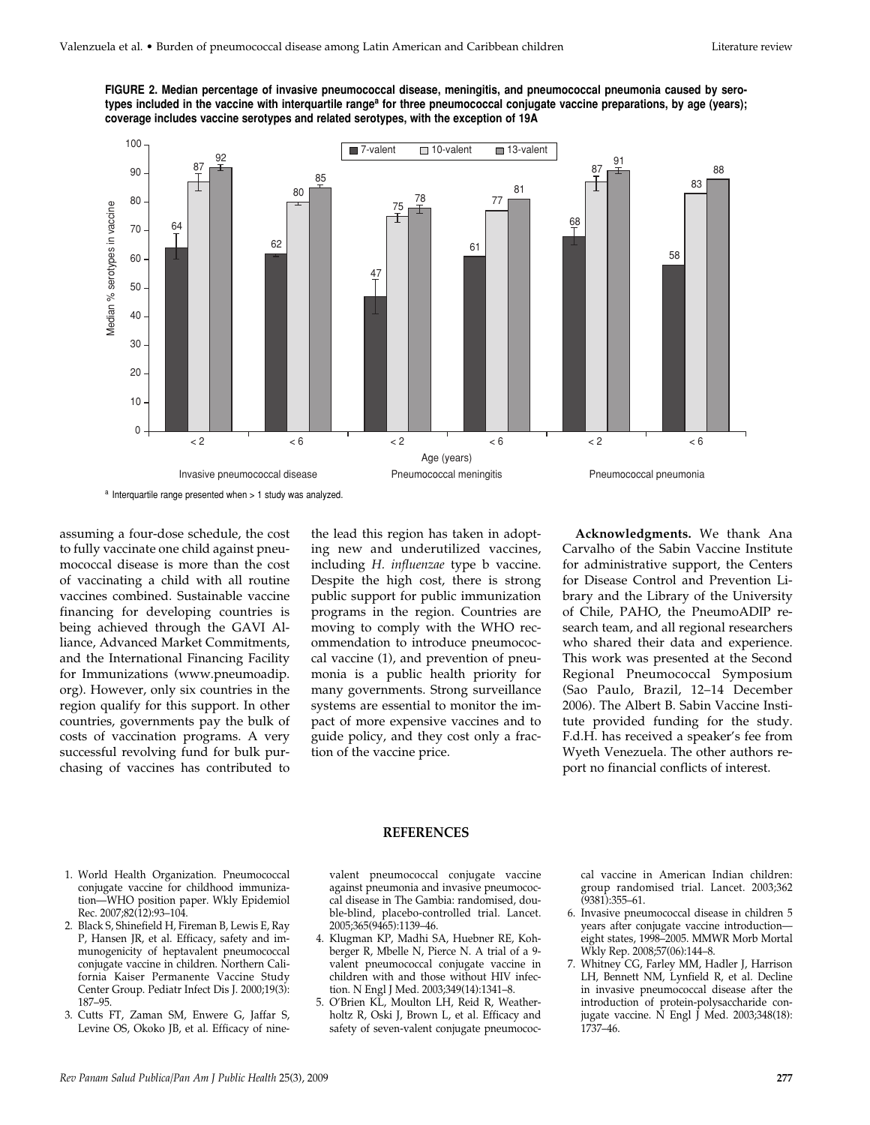



assuming a four-dose schedule, the cost to fully vaccinate one child against pneumococcal disease is more than the cost of vaccinating a child with all routine vaccines combined. Sustainable vaccine financing for developing countries is being achieved through the GAVI Alliance, Advanced Market Commitments, and the International Financing Facility for Immunizations (www.pneumoadip. org). However, only six countries in the region qualify for this support. In other countries, governments pay the bulk of costs of vaccination programs. A very successful revolving fund for bulk purchasing of vaccines has contributed to

the lead this region has taken in adopting new and underutilized vaccines, including *H. influenzae* type b vaccine. Despite the high cost, there is strong public support for public immunization programs in the region. Countries are moving to comply with the WHO recommendation to introduce pneumococcal vaccine (1), and prevention of pneumonia is a public health priority for many governments. Strong surveillance systems are essential to monitor the impact of more expensive vaccines and to guide policy, and they cost only a fraction of the vaccine price.

**Acknowledgments.** We thank Ana Carvalho of the Sabin Vaccine Institute for administrative support, the Centers for Disease Control and Prevention Library and the Library of the University of Chile, PAHO, the PneumoADIP research team, and all regional researchers who shared their data and experience. This work was presented at the Second Regional Pneumococcal Symposium (Sao Paulo, Brazil, 12–14 December 2006). The Albert B. Sabin Vaccine Institute provided funding for the study. F.d.H. has received a speaker's fee from Wyeth Venezuela. The other authors report no financial conflicts of interest.

#### **REFERENCES**

- 1. World Health Organization. Pneumococcal conjugate vaccine for childhood immunization—WHO position paper. Wkly Epidemiol Rec. 2007;82(12):93–104.
- 2. Black S, Shinefield H, Fireman B, Lewis E, Ray P, Hansen JR, et al. Efficacy, safety and immunogenicity of heptavalent pneumococcal conjugate vaccine in children. Northern California Kaiser Permanente Vaccine Study Center Group. Pediatr Infect Dis J. 2000;19(3): 187–95.
- 3. Cutts FT, Zaman SM, Enwere G, Jaffar S, Levine OS, Okoko JB, et al. Efficacy of nine-

valent pneumococcal conjugate vaccine against pneumonia and invasive pneumococcal disease in The Gambia: randomised, double-blind, placebo-controlled trial. Lancet. 2005;365(9465):1139–46.

- 4. Klugman KP, Madhi SA, Huebner RE, Kohberger R, Mbelle N, Pierce N. A trial of a 9 valent pneumococcal conjugate vaccine in children with and those without HIV infection. N Engl J Med. 2003;349(14):1341–8.
- 5. O'Brien KL, Moulton LH, Reid R, Weatherholtz R, Oski J, Brown L, et al. Efficacy and safety of seven-valent conjugate pneumococ-

cal vaccine in American Indian children: group randomised trial. Lancet. 2003;362 (9381):355–61.

- 6. Invasive pneumococcal disease in children 5 years after conjugate vaccine introduction eight states, 1998–2005. MMWR Morb Mortal Wkly Rep. 2008;57(06):144–8.
- 7. Whitney CG, Farley MM, Hadler J, Harrison LH, Bennett NM, Lynfield R, et al. Decline in invasive pneumococcal disease after the introduction of protein-polysaccharide conjugate vaccine.  $\overline{N}$  Engl J Med. 2003;348(18): 1737–46.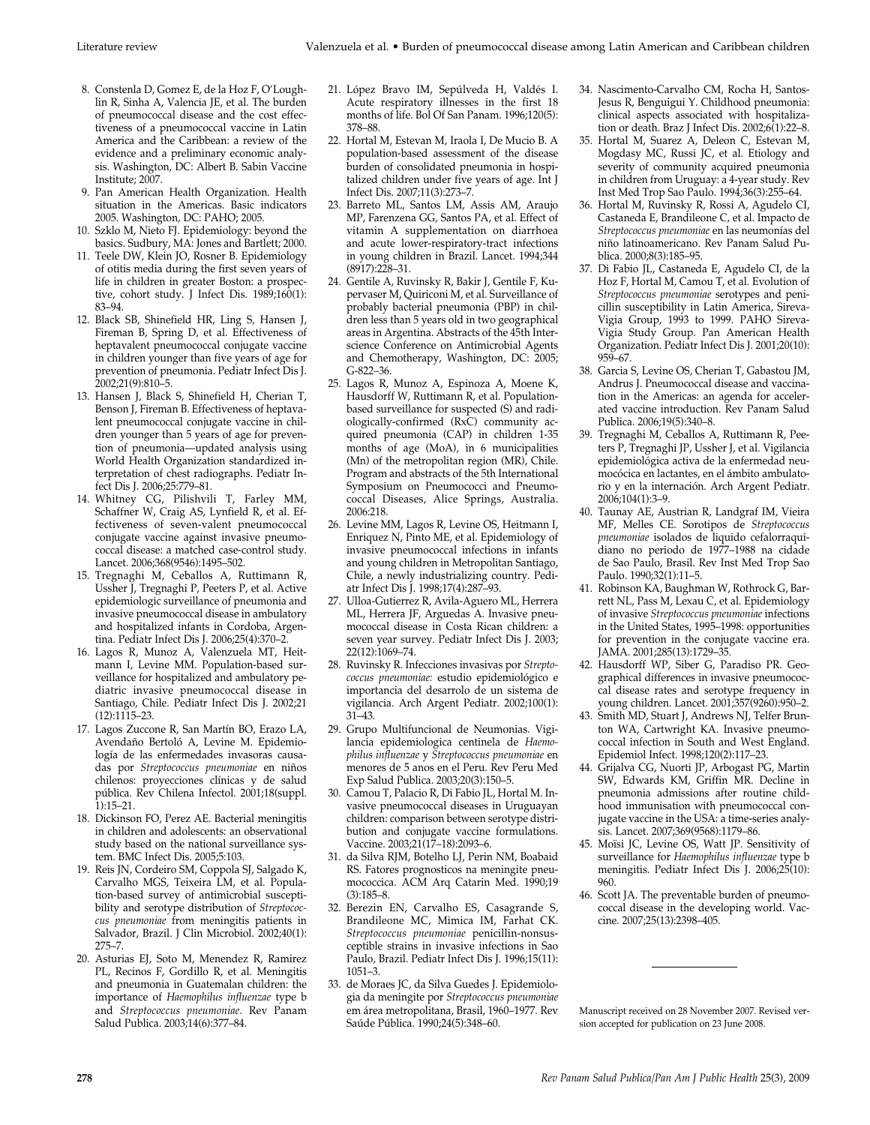- 8. Constenla D, Gomez E, de la Hoz F, O'Loughlin R, Sinha A, Valencia JE, et al. The burden of pneumococcal disease and the cost effectiveness of a pneumococcal vaccine in Latin America and the Caribbean: a review of the evidence and a preliminary economic analysis. Washington, DC: Albert B. Sabin Vaccine Institute; 2007.
- 9. Pan American Health Organization. Health situation in the Americas. Basic indicators 2005. Washington, DC: PAHO; 2005.
- 10. Szklo M, Nieto FJ. Epidemiology: beyond the basics. Sudbury, MA: Jones and Bartlett; 2000.
- 11. Teele DW, Klein JO, Rosner B. Epidemiology of otitis media during the first seven years of life in children in greater Boston: a prospective, cohort study. J Infect Dis. 1989;160(1): 83–94.
- 12. Black SB, Shinefield HR, Ling S, Hansen J, Fireman B, Spring D, et al. Effectiveness of heptavalent pneumococcal conjugate vaccine in children younger than five years of age for prevention of pneumonia. Pediatr Infect Dis J. 2002;21(9):810–5.
- 13. Hansen J, Black S, Shinefield H, Cherian T, Benson J, Fireman B. Effectiveness of heptavalent pneumococcal conjugate vaccine in children younger than 5 years of age for prevention of pneumonia—updated analysis using World Health Organization standardized interpretation of chest radiographs. Pediatr Infect Dis J. 2006;25:779–81.
- 14. Whitney CG, Pilishvili T, Farley MM, Schaffner W, Craig AS, Lynfield R, et al. Effectiveness of seven-valent pneumococcal conjugate vaccine against invasive pneumococcal disease: a matched case-control study. Lancet. 2006;368(9546):1495–502.
- 15. Tregnaghi M, Ceballos A, Ruttimann R, Ussher J, Tregnaghi P, Peeters P, et al. Active epidemiologic surveillance of pneumonia and invasive pneumococcal disease in ambulatory and hospitalized infants in Cordoba, Argentina. Pediatr Infect Dis J. 2006;25(4):370–2.
- 16. Lagos R, Munoz A, Valenzuela MT, Heitmann I, Levine MM. Population-based surveillance for hospitalized and ambulatory pediatric invasive pneumococcal disease in Santiago, Chile. Pediatr Infect Dis J. 2002;21 (12):1115–23.
- 17. Lagos Zuccone R, San Martín BO, Erazo LA, Avendaño Bertoló A, Levine M. Epidemiología de las enfermedades invasoras causadas por *Streptococcus pneumoniae* en niños chilenos: proyecciones clínicas y de salud pública. Rev Chilena Infectol. 2001;18(suppl. 1):15–21.
- 18. Dickinson FO, Perez AE. Bacterial meningitis in children and adolescents: an observational study based on the national surveillance system. BMC Infect Dis. 2005;5:103.
- 19. Reis JN, Cordeiro SM, Coppola SJ, Salgado K, Carvalho MGS, Teixeira LM, et al. Population-based survey of antimicrobial susceptibility and serotype distribution of *Streptococcus pneumoniae* from meningitis patients in Salvador, Brazil. J Clin Microbiol. 2002;40(1): 275–7.
- 20. Asturias EJ, Soto M, Menendez R, Ramirez PL, Recinos F, Gordillo R, et al. Meningitis and pneumonia in Guatemalan children: the importance of *Haemophilus influenzae* type b and *Streptococcus pneumoniae*. Rev Panam Salud Publica. 2003;14(6):377–84.
- 21. López Bravo IM, Sepúlveda H, Valdés I. Acute respiratory illnesses in the first 18 months of life. Bol Of San Panam. 1996;120(5): 378–88.
- 22. Hortal M, Estevan M, Iraola I, De Mucio B. A population-based assessment of the disease burden of consolidated pneumonia in hospitalized children under five years of age. Int J Infect Dis. 2007;11(3):273–7.
- 23. Barreto ML, Santos LM, Assis AM, Araujo MP, Farenzena GG, Santos PA, et al. Effect of vitamin A supplementation on diarrhoea and acute lower-respiratory-tract infections in young children in Brazil. Lancet. 1994;344 (8917):228–31.
- 24. Gentile A, Ruvinsky R, Bakir J, Gentile F, Kupervaser M, Quiriconi M, et al. Surveillance of probably bacterial pneumonia (PBP) in children less than 5 years old in two geographical areas in Argentina. Abstracts of the 45th Interscience Conference on Antimicrobial Agents and Chemotherapy, Washington, DC: 2005; G-822–36.
- 25. Lagos R, Munoz A, Espinoza A, Moene K, Hausdorff W, Ruttimann R, et al. Populationbased surveillance for suspected (S) and radiologically-confirmed (RxC) community acquired pneumonia (CAP) in children 1-35 months of age (MoA), in 6 municipalities (Mn) of the metropolitan region (MR), Chile. Program and abstracts of the 5th International Symposium on Pneumococci and Pneumococcal Diseases, Alice Springs, Australia. 2006:218.
- 26. Levine MM, Lagos R, Levine OS, Heitmann I, Enriquez N, Pinto ME, et al. Epidemiology of invasive pneumococcal infections in infants and young children in Metropolitan Santiago, Chile, a newly industrializing country. Pediatr Infect Dis J. 1998;17(4):287–93.
- 27. Ulloa-Gutierrez R, Avila-Aguero ML, Herrera ML, Herrera JF, Arguedas A. Invasive pneumococcal disease in Costa Rican children: a seven year survey. Pediatr Infect Dis J. 2003; 22(12):1069–74.
- 28. Ruvinsky R. Infecciones invasivas por *Streptococcus pneumoniae:* estudio epidemiológico e importancia del desarrolo de un sistema de vigilancia. Arch Argent Pediatr. 2002;100(1): 31–43.
- 29. Grupo Multifuncional de Neumonias. Vigilancia epidemiologica centinela de *Haemophilus influenzae* y *Streptococcus pneumoniae* en menores de 5 anos en el Peru. Rev Peru Med Exp Salud Publica. 2003;20(3):150–5.
- 30. Camou T, Palacio R, Di Fabio JL, Hortal M. Invasive pneumococcal diseases in Uruguayan children: comparison between serotype distribution and conjugate vaccine formulations. Vaccine. 2003;21(17–18):2093–6.
- 31. da Silva RJM, Botelho LJ, Perin NM, Boabaid RS. Fatores prognosticos na meningite pneumococcica. ACM Arq Catarin Med. 1990;19 (3):185–8.
- 32. Berezin EN, Carvalho ES, Casagrande S, Brandileone MC, Mimica IM, Farhat CK. *Streptococcus pneumoniae* penicillin-nonsusceptible strains in invasive infections in Sao Paulo, Brazil. Pediatr Infect Dis J. 1996;15(11): 1051–3.
- 33. de Moraes JC, da Silva Guedes J. Epidemiologia da meningite por *Streptococcus pneumoniae* em área metropolitana, Brasil, 1960–1977. Rev Saúde Pública. 1990;24(5):348–60.
- 34. Nascimento-Carvalho CM, Rocha H, Santos-Jesus R, Benguigui Y. Childhood pneumonia: clinical aspects associated with hospitalization or death. Braz J Infect Dis. 2002;6(1):22–8.
- 35. Hortal M, Suarez A, Deleon C, Estevan M, Mogdasy MC, Russi JC, et al. Etiology and severity of community acquired pneumonia in children from Uruguay: a 4-year study. Rev Inst Med Trop Sao Paulo. 1994;36(3):255–64.
- 36. Hortal M, Ruvinsky R, Rossi A, Agudelo CI, Castaneda E, Brandileone C, et al. Impacto de *Streptococcus pneumoniae* en las neumonías del niño latinoamericano. Rev Panam Salud Publica. 2000;8(3):185–95.
- 37. Di Fabio JL, Castaneda E, Agudelo CI, de la Hoz F, Hortal M, Camou T, et al. Evolution of *Streptococcus pneumoniae* serotypes and penicillin susceptibility in Latin America, Sireva-Vigia Group, 1993 to 1999. PAHO Sireva-Vigia Study Group. Pan American Health Organization. Pediatr Infect Dis J. 2001;20(10): 959–67.
- 38. Garcia S, Levine OS, Cherian T, Gabastou JM, Andrus J. Pneumococcal disease and vaccination in the Americas: an agenda for accelerated vaccine introduction. Rev Panam Salud Publica. 2006;19(5):340–8.
- 39. Tregnaghi M, Ceballos A, Ruttimann R, Peeters P, Tregnaghi JP, Ussher J, et al. Vigilancia epidemiológica activa de la enfermedad neumocócica en lactantes, en el ámbito ambulatorio y en la internación. Arch Argent Pediatr. 2006;104(1):3–9.
- 40. Taunay AE, Austrian R, Landgraf IM, Vieira MF, Melles CE. Sorotipos de *Streptococcus pneumoniae* isolados de liquido cefalorraquidiano no periodo de 1977–1988 na cidade de Sao Paulo, Brasil. Rev Inst Med Trop Sao Paulo. 1990;32(1):11–5.
- 41. Robinson KA, Baughman W, Rothrock G, Barrett NL, Pass M, Lexau C, et al. Epidemiology of invasive *Streptococcus pneumoniae* infections in the United States, 1995-1998: opportunities for prevention in the conjugate vaccine era. JAMA. 2001;285(13):1729–35.
- 42. Hausdorff WP, Siber G, Paradiso PR. Geographical differences in invasive pneumococcal disease rates and serotype frequency in young children. Lancet. 2001;357(9260):950–2.
- 43. Smith MD, Stuart J, Andrews NJ, Telfer Brunton WA, Cartwright KA. Invasive pneumococcal infection in South and West England. Epidemiol Infect. 1998;120(2):117–23.
- 44. Grijalva CG, Nuorti JP, Arbogast PG, Martin SW, Edwards KM, Griffin MR. Decline in pneumonia admissions after routine childhood immunisation with pneumococcal conjugate vaccine in the USA: a time-series analysis. Lancet. 2007;369(9568):1179–86.
- 45. Moïsi JC, Levine OS, Watt JP. Sensitivity of surveillance for *Haemophilus influenzae* type b meningitis. Pediatr Infect Dis J. 2006;25(10): 960.
- 46. Scott JA. The preventable burden of pneumococcal disease in the developing world. Vaccine. 2007;25(13):2398–405.

Manuscript received on 28 November 2007. Revised version accepted for publication on 23 June 2008.